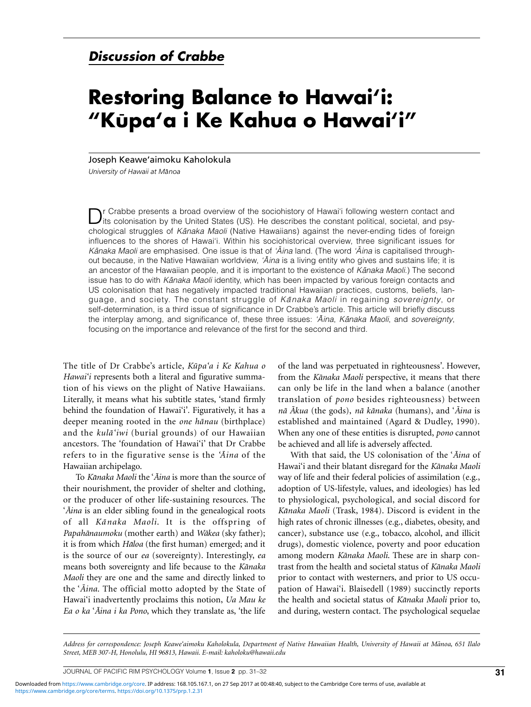## **Discussion of Crabbe**

## **Restoring Balance to Hawai'i: "Ku**- **pa'a i Ke Kahua o Hawai'i"**

Joseph Keawe'aimoku Kaholokula

*University of Hawaii at Ma-noa*

Dr Crabbe presents a broad overview of the sociohistory of Hawai'i following western contact and<br>its colonisation by the United States (US). He describes the constant political, societal, and psychological struggles of Kanaka Maoli (Native Hawaiians) against the never-ending tides of foreign influences to the shores of Hawai'i. Within his sociohistorical overview, three significant issues for K*ānaka Maoli* are emphasised. One issue is that of *'Āina* land. (The word *'Āina* is capitalised throughout because, in the Native Hawaiian worldview, 'A*ina* is a living entity who gives and sustains life; it is an ancestor of the Hawaiian people, and it is important to the existence of Kanaka Maoli.) The second issue has to do with Kanaka Maoli identity, which has been impacted by various foreign contacts and US colonisation that has negatively impacted traditional Hawaiian practices, customs, beliefs, language, and society. The constant struggle of Kanaka Maoli in regaining sovereignty, or self-determination, is a third issue of significance in Dr Crabbe's article. This article will briefly discuss the interplay among, and significance of, these three issues: 'Aina, Kānaka Maoli, and sovereignty, focusing on the importance and relevance of the first for the second and third.

The title of Dr Crabbe's article, *Kūpa'a i Ke Kahua o Hawai'i* represents both a literal and figurative summation of his views on the plight of Native Hawaiians. Literally, it means what his subtitle states, 'stand firmly behind the foundation of Hawai'i'*.* Figuratively, it has a deeper meaning rooted in the *one hanau* (birthplace) and the *kula-'iwi* (burial grounds) of our Hawaiian ancestors. The 'foundation of Hawai'i' that Dr Crabbe refers to in the figurative sense is the 'Aina of the Hawaiian archipelago.

To *Ka-naka Maoli* the '*A - ina* is more than the source of their nourishment, the provider of shelter and clothing, or the producer of other life-sustaining resources. The '*A - ina* is an elder sibling found in the genealogical roots of all *Kānaka Maoli*. It is the offspring of *Papahānaumoku* (mother earth) and *Wākea* (sky father); it is from which *Hāloa* (the first human) emerged; and it is the source of our *ea* (sovereignty). Interestingly, *ea* means both sovereignty and life because to the *Kānaka Maoli* they are one and the same and directly linked to the '*Aina*. The official motto adopted by the State of Hawai'i inadvertently proclaims this notion, *Ua Mau ke Ea o ka* '*A - ina i ka Pono*, which they translate as, 'the life

of the land was perpetuated in righteousness'. However, from the *Kānaka Maoli* perspective, it means that there can only be life in the land when a balance (another translation of *pono* besides righteousness) between *na- A - kua* (the gods), *na- ka-naka* (humans), and '*A - ina* is established and maintained (Agard & Dudley, 1990)*.* When any one of these entities is disrupted, *pono* cannot be achieved and all life is adversely affected.

With that said, the US colonisation of the '*A - ina* of Hawai'i and their blatant disregard for the *Kānaka Maoli* way of life and their federal policies of assimilation (e.g., adoption of US-lifestyle, values, and ideologies) has led to physiological, psychological, and social discord for Kānaka Maoli (Trask, 1984). Discord is evident in the high rates of chronic illnesses (e.g., diabetes, obesity, and cancer), substance use (e.g., tobacco, alcohol, and illicit drugs), domestic violence, poverty and poor education among modern *Kānaka Maoli*. These are in sharp contrast from the health and societal status of *Kānaka Maoli* prior to contact with westerners, and prior to US occupation of Hawai'i. Blaisedell (1989) succinctly reports the health and societal status of *Kānaka Maoli* prior to, and during, western contact. The psychological sequelae

.<br>Address for correspondence: Joseph Keawe'aimoku Kaholokula, Department of Native Hawaiian Health, University of Hawaii at Mānoa, 651 Ilalc *Street, MEB 307-H, Honolulu, HI 96813, Hawaii. E-mail: kaholoku@hawaii.edu*

JOURNAL OF PACIFIC RIM PSYCHOLOGY Volume **1**, Issue **<sup>2</sup>** pp. 31–32 **31**

[https://www.cambridge.org/core/terms.](https://www.cambridge.org/core/terms) <https://doi.org/10.1375/prp.1.2.31> Downloaded from [https://www.cambridge.org/core.](https://www.cambridge.org/core) IP address: 168.105.167.1, on 27 Sep 2017 at 00:48:40, subject to the Cambridge Core terms of use, available at